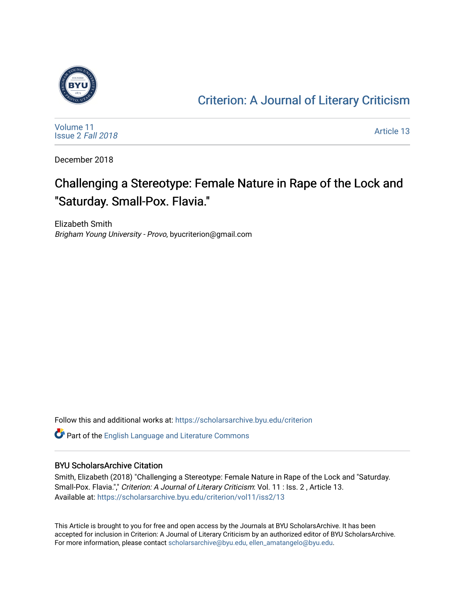

### [Criterion: A Journal of Literary Criticism](https://scholarsarchive.byu.edu/criterion)

[Volume 11](https://scholarsarchive.byu.edu/criterion/vol11) [Issue 2](https://scholarsarchive.byu.edu/criterion/vol11/iss2) Fall 2018

[Article 13](https://scholarsarchive.byu.edu/criterion/vol11/iss2/13) 

December 2018

## Challenging a Stereotype: Female Nature in Rape of the Lock and "Saturday. Small-Pox. Flavia."

Elizabeth Smith Brigham Young University - Provo, byucriterion@gmail.com

Follow this and additional works at: [https://scholarsarchive.byu.edu/criterion](https://scholarsarchive.byu.edu/criterion?utm_source=scholarsarchive.byu.edu%2Fcriterion%2Fvol11%2Fiss2%2F13&utm_medium=PDF&utm_campaign=PDFCoverPages) 

Part of the [English Language and Literature Commons](http://network.bepress.com/hgg/discipline/455?utm_source=scholarsarchive.byu.edu%2Fcriterion%2Fvol11%2Fiss2%2F13&utm_medium=PDF&utm_campaign=PDFCoverPages)

#### BYU ScholarsArchive Citation

Smith, Elizabeth (2018) "Challenging a Stereotype: Female Nature in Rape of the Lock and "Saturday. Small-Pox. Flavia."," Criterion: A Journal of Literary Criticism: Vol. 11 : Iss. 2, Article 13. Available at: [https://scholarsarchive.byu.edu/criterion/vol11/iss2/13](https://scholarsarchive.byu.edu/criterion/vol11/iss2/13?utm_source=scholarsarchive.byu.edu%2Fcriterion%2Fvol11%2Fiss2%2F13&utm_medium=PDF&utm_campaign=PDFCoverPages) 

This Article is brought to you for free and open access by the Journals at BYU ScholarsArchive. It has been accepted for inclusion in Criterion: A Journal of Literary Criticism by an authorized editor of BYU ScholarsArchive. For more information, please contact [scholarsarchive@byu.edu, ellen\\_amatangelo@byu.edu](mailto:scholarsarchive@byu.edu,%20ellen_amatangelo@byu.edu).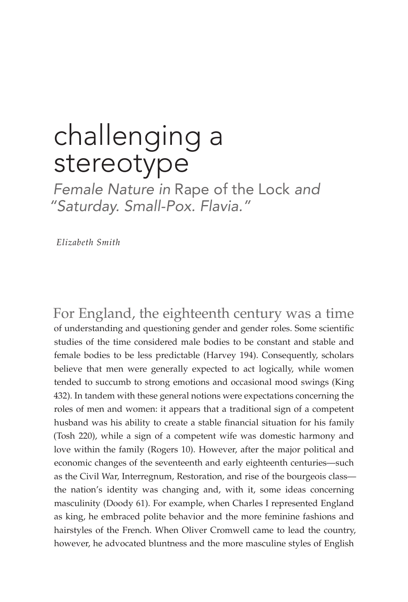# challenging a stereotype

*Female Nature in* Rape of the Lock *and "Saturday. Small-Pox. Flavia."*

 *Elizabeth Smith*

For England, the eighteenth century was a time of understanding and questioning gender and gender roles. Some scientific studies of the time considered male bodies to be constant and stable and female bodies to be less predictable (Harvey 194). Consequently, scholars believe that men were generally expected to act logically, while women tended to succumb to strong emotions and occasional mood swings (King 432). In tandem with these general notions were expectations concerning the roles of men and women: it appears that a traditional sign of a competent husband was his ability to create a stable financial situation for his family (Tosh 220), while a sign of a competent wife was domestic harmony and love within the family (Rogers 10). However, after the major political and economic changes of the seventeenth and early eighteenth centuries—such as the Civil War, Interregnum, Restoration, and rise of the bourgeois class the nation's identity was changing and, with it, some ideas concerning masculinity (Doody 61). For example, when Charles I represented England as king, he embraced polite behavior and the more feminine fashions and hairstyles of the French. When Oliver Cromwell came to lead the country, however, he advocated bluntness and the more masculine styles of English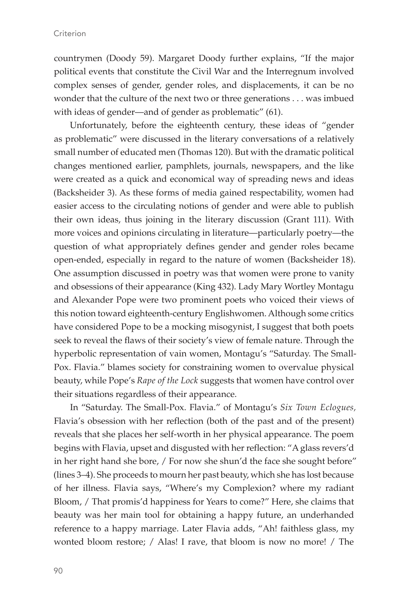countrymen (Doody 59). Margaret Doody further explains, "If the major political events that constitute the Civil War and the Interregnum involved complex senses of gender, gender roles, and displacements, it can be no wonder that the culture of the next two or three generations . . . was imbued with ideas of gender—and of gender as problematic" (61).

Unfortunately, before the eighteenth century, these ideas of "gender as problematic" were discussed in the literary conversations of a relatively small number of educated men (Thomas 120). But with the dramatic political changes mentioned earlier, pamphlets, journals, newspapers, and the like were created as a quick and economical way of spreading news and ideas (Backsheider 3). As these forms of media gained respectability, women had easier access to the circulating notions of gender and were able to publish their own ideas, thus joining in the literary discussion (Grant 111). With more voices and opinions circulating in literature—particularly poetry—the question of what appropriately defines gender and gender roles became open-ended, especially in regard to the nature of women (Backsheider 18). One assumption discussed in poetry was that women were prone to vanity and obsessions of their appearance (King 432). Lady Mary Wortley Montagu and Alexander Pope were two prominent poets who voiced their views of this notion toward eighteenth-century Englishwomen. Although some critics have considered Pope to be a mocking misogynist, I suggest that both poets seek to reveal the flaws of their society's view of female nature. Through the hyperbolic representation of vain women, Montagu's "Saturday. The Small-Pox. Flavia." blames society for constraining women to overvalue physical beauty, while Pope's *Rape of the Lock* suggests that women have control over their situations regardless of their appearance.

In "Saturday. The Small-Pox. Flavia." of Montagu's *Six Town Eclogues,*  Flavia's obsession with her reflection (both of the past and of the present) reveals that she places her self-worth in her physical appearance. The poem begins with Flavia, upset and disgusted with her reflection: "A glass revers'd in her right hand she bore, / For now she shun'd the face she sought before" (lines 3–4). She proceeds to mourn her past beauty, which she has lost because of her illness. Flavia says, "Where's my Complexion? where my radiant Bloom, / That promis'd happiness for Years to come?" Here, she claims that beauty was her main tool for obtaining a happy future, an underhanded reference to a happy marriage. Later Flavia adds, "Ah! faithless glass, my wonted bloom restore; / Alas! I rave, that bloom is now no more! / The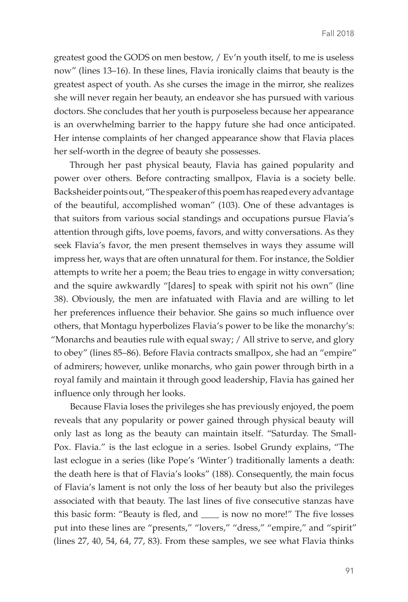greatest good the GODS on men bestow, / Ev'n youth itself, to me is useless now" (lines 13–16). In these lines, Flavia ironically claims that beauty is the greatest aspect of youth. As she curses the image in the mirror, she realizes she will never regain her beauty, an endeavor she has pursued with various doctors. She concludes that her youth is purposeless because her appearance is an overwhelming barrier to the happy future she had once anticipated. Her intense complaints of her changed appearance show that Flavia places her self-worth in the degree of beauty she possesses.

Through her past physical beauty, Flavia has gained popularity and power over others. Before contracting smallpox, Flavia is a society belle. Backsheider points out, "The speaker of this poem has reaped every advantage of the beautiful, accomplished woman" (103). One of these advantages is that suitors from various social standings and occupations pursue Flavia's attention through gifts, love poems, favors, and witty conversations. As they seek Flavia's favor, the men present themselves in ways they assume will impress her, ways that are often unnatural for them. For instance, the Soldier attempts to write her a poem; the Beau tries to engage in witty conversation; and the squire awkwardly "[dares] to speak with spirit not his own" (line 38). Obviously, the men are infatuated with Flavia and are willing to let her preferences influence their behavior. She gains so much influence over others, that Montagu hyperbolizes Flavia's power to be like the monarchy's: "Monarchs and beauties rule with equal sway; / All strive to serve, and glory to obey" (lines 85–86). Before Flavia contracts smallpox, she had an "empire" of admirers; however, unlike monarchs, who gain power through birth in a royal family and maintain it through good leadership, Flavia has gained her influence only through her looks.

Because Flavia loses the privileges she has previously enjoyed, the poem reveals that any popularity or power gained through physical beauty will only last as long as the beauty can maintain itself. "Saturday. The Small-Pox. Flavia." is the last eclogue in a series. Isobel Grundy explains, "The last eclogue in a series (like Pope's 'Winter') traditionally laments a death: the death here is that of Flavia's looks" (188). Consequently, the main focus of Flavia's lament is not only the loss of her beauty but also the privileges associated with that beauty. The last lines of five consecutive stanzas have this basic form: "Beauty is fled, and \_\_\_\_ is now no more!" The five losses put into these lines are "presents," "lovers," "dress," "empire," and "spirit" (lines 27, 40, 54, 64, 77, 83). From these samples, we see what Flavia thinks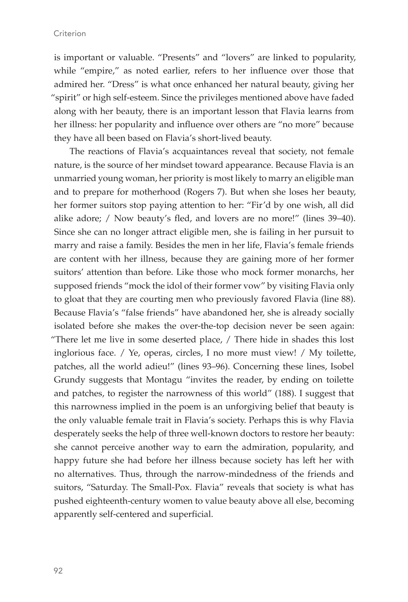is important or valuable. "Presents" and "lovers" are linked to popularity, while "empire," as noted earlier, refers to her influence over those that admired her. "Dress" is what once enhanced her natural beauty, giving her "spirit" or high self-esteem. Since the privileges mentioned above have faded along with her beauty, there is an important lesson that Flavia learns from her illness: her popularity and influence over others are "no more" because they have all been based on Flavia's short-lived beauty.

The reactions of Flavia's acquaintances reveal that society, not female nature, is the source of her mindset toward appearance. Because Flavia is an unmarried young woman, her priority is most likely to marry an eligible man and to prepare for motherhood (Rogers 7). But when she loses her beauty, her former suitors stop paying attention to her: "Fir'd by one wish, all did alike adore; / Now beauty's fled, and lovers are no more!" (lines 39–40). Since she can no longer attract eligible men, she is failing in her pursuit to marry and raise a family. Besides the men in her life, Flavia's female friends are content with her illness, because they are gaining more of her former suitors' attention than before. Like those who mock former monarchs, her supposed friends "mock the idol of their former vow" by visiting Flavia only to gloat that they are courting men who previously favored Flavia (line 88). Because Flavia's "false friends" have abandoned her, she is already socially isolated before she makes the over-the-top decision never be seen again: "There let me live in some deserted place, / There hide in shades this lost inglorious face. / Ye, operas, circles, I no more must view! / My toilette, patches, all the world adieu!" (lines 93–96). Concerning these lines, Isobel Grundy suggests that Montagu "invites the reader, by ending on toilette and patches, to register the narrowness of this world" (188). I suggest that this narrowness implied in the poem is an unforgiving belief that beauty is the only valuable female trait in Flavia's society. Perhaps this is why Flavia desperately seeks the help of three well-known doctors to restore her beauty: she cannot perceive another way to earn the admiration, popularity, and happy future she had before her illness because society has left her with no alternatives. Thus, through the narrow-mindedness of the friends and suitors, "Saturday. The Small-Pox. Flavia" reveals that society is what has pushed eighteenth-century women to value beauty above all else, becoming apparently self-centered and superficial.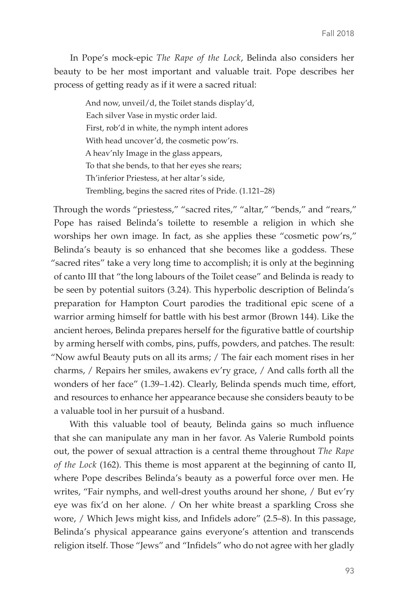In Pope's mock-epic *The Rape of the Lock*, Belinda also considers her beauty to be her most important and valuable trait. Pope describes her process of getting ready as if it were a sacred ritual:

> And now, unveil/d, the Toilet stands display'd, Each silver Vase in mystic order laid. First, rob'd in white, the nymph intent adores With head uncover'd, the cosmetic pow'rs. A heav'nly Image in the glass appears, To that she bends, to that her eyes she rears; Th'inferior Priestess, at her altar's side, Trembling, begins the sacred rites of Pride. (1.121–28)

Through the words "priestess," "sacred rites," "altar," "bends," and "rears," Pope has raised Belinda's toilette to resemble a religion in which she worships her own image. In fact, as she applies these "cosmetic pow'rs," Belinda's beauty is so enhanced that she becomes like a goddess. These "sacred rites" take a very long time to accomplish; it is only at the beginning of canto III that "the long labours of the Toilet cease" and Belinda is ready to be seen by potential suitors (3.24). This hyperbolic description of Belinda's preparation for Hampton Court parodies the traditional epic scene of a warrior arming himself for battle with his best armor (Brown 144). Like the ancient heroes, Belinda prepares herself for the figurative battle of courtship by arming herself with combs, pins, puffs, powders, and patches. The result: "Now awful Beauty puts on all its arms; / The fair each moment rises in her charms, / Repairs her smiles, awakens ev'ry grace, / And calls forth all the wonders of her face" (1.39–1.42). Clearly, Belinda spends much time, effort, and resources to enhance her appearance because she considers beauty to be a valuable tool in her pursuit of a husband.

With this valuable tool of beauty, Belinda gains so much influence that she can manipulate any man in her favor. As Valerie Rumbold points out, the power of sexual attraction is a central theme throughout *The Rape of the Lock* (162). This theme is most apparent at the beginning of canto II, where Pope describes Belinda's beauty as a powerful force over men. He writes, "Fair nymphs, and well-drest youths around her shone, / But ev'ry eye was fix'd on her alone. / On her white breast a sparkling Cross she wore, / Which Jews might kiss, and Infidels adore" (2.5–8). In this passage, Belinda's physical appearance gains everyone's attention and transcends religion itself. Those "Jews" and "Infidels" who do not agree with her gladly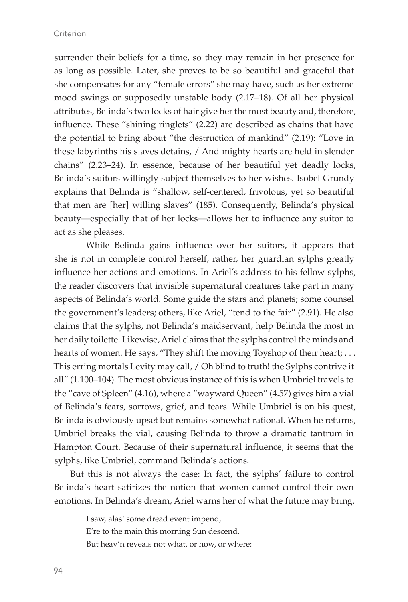surrender their beliefs for a time, so they may remain in her presence for as long as possible. Later, she proves to be so beautiful and graceful that she compensates for any "female errors" she may have, such as her extreme mood swings or supposedly unstable body (2.17–18). Of all her physical attributes, Belinda's two locks of hair give her the most beauty and, therefore, influence. These "shining ringlets" (2.22) are described as chains that have the potential to bring about "the destruction of mankind" (2.19): "Love in these labyrinths his slaves detains, / And mighty hearts are held in slender chains" (2.23–24). In essence, because of her beautiful yet deadly locks, Belinda's suitors willingly subject themselves to her wishes. Isobel Grundy explains that Belinda is "shallow, self-centered, frivolous, yet so beautiful that men are [her] willing slaves" (185). Consequently, Belinda's physical beauty—especially that of her locks—allows her to influence any suitor to act as she pleases.

While Belinda gains influence over her suitors, it appears that she is not in complete control herself; rather, her guardian sylphs greatly influence her actions and emotions. In Ariel's address to his fellow sylphs, the reader discovers that invisible supernatural creatures take part in many aspects of Belinda's world. Some guide the stars and planets; some counsel the government's leaders; others, like Ariel, "tend to the fair" (2.91). He also claims that the sylphs, not Belinda's maidservant, help Belinda the most in her daily toilette. Likewise, Ariel claims that the sylphs control the minds and hearts of women. He says, "They shift the moving Toyshop of their heart; . . . This erring mortals Levity may call, / Oh blind to truth! the Sylphs contrive it all" (1.100–104). The most obvious instance of this is when Umbriel travels to the "cave of Spleen" (4.16), where a "wayward Queen" (4.57) gives him a vial of Belinda's fears, sorrows, grief, and tears. While Umbriel is on his quest, Belinda is obviously upset but remains somewhat rational. When he returns, Umbriel breaks the vial, causing Belinda to throw a dramatic tantrum in Hampton Court. Because of their supernatural influence, it seems that the sylphs, like Umbriel, command Belinda's actions.

But this is not always the case: In fact, the sylphs' failure to control Belinda's heart satirizes the notion that women cannot control their own emotions. In Belinda's dream, Ariel warns her of what the future may bring.

> I saw, alas! some dread event impend, E're to the main this morning Sun descend. But heav'n reveals not what, or how, or where: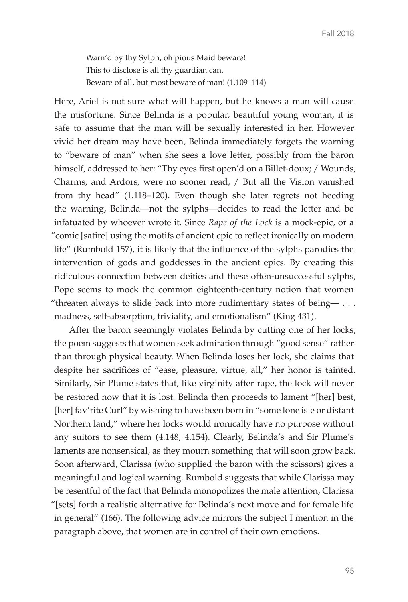Warn'd by thy Sylph, oh pious Maid beware! This to disclose is all thy guardian can. Beware of all, but most beware of man! (1.109–114)

Here, Ariel is not sure what will happen, but he knows a man will cause the misfortune. Since Belinda is a popular, beautiful young woman, it is safe to assume that the man will be sexually interested in her. However vivid her dream may have been, Belinda immediately forgets the warning to "beware of man" when she sees a love letter, possibly from the baron himself, addressed to her: "Thy eyes first open'd on a Billet-doux; / Wounds, Charms, and Ardors, were no sooner read, / But all the Vision vanished from thy head" (1.118–120). Even though she later regrets not heeding the warning, Belinda—not the sylphs—decides to read the letter and be infatuated by whoever wrote it. Since *Rape of the Lock* is a mock-epic, or a "comic [satire] using the motifs of ancient epic to reflect ironically on modern life" (Rumbold 157), it is likely that the influence of the sylphs parodies the intervention of gods and goddesses in the ancient epics. By creating this ridiculous connection between deities and these often-unsuccessful sylphs, Pope seems to mock the common eighteenth-century notion that women "threaten always to slide back into more rudimentary states of being— $\ldots$ madness, self-absorption, triviality, and emotionalism" (King 431).

After the baron seemingly violates Belinda by cutting one of her locks, the poem suggests that women seek admiration through "good sense" rather than through physical beauty. When Belinda loses her lock, she claims that despite her sacrifices of "ease, pleasure, virtue, all," her honor is tainted. Similarly, Sir Plume states that, like virginity after rape, the lock will never be restored now that it is lost. Belinda then proceeds to lament "[her] best, [her] fav'rite Curl" by wishing to have been born in "some lone isle or distant Northern land," where her locks would ironically have no purpose without any suitors to see them (4.148, 4.154). Clearly, Belinda's and Sir Plume's laments are nonsensical, as they mourn something that will soon grow back. Soon afterward, Clarissa (who supplied the baron with the scissors) gives a meaningful and logical warning. Rumbold suggests that while Clarissa may be resentful of the fact that Belinda monopolizes the male attention, Clarissa "[sets] forth a realistic alternative for Belinda's next move and for female life in general" (166). The following advice mirrors the subject I mention in the paragraph above, that women are in control of their own emotions.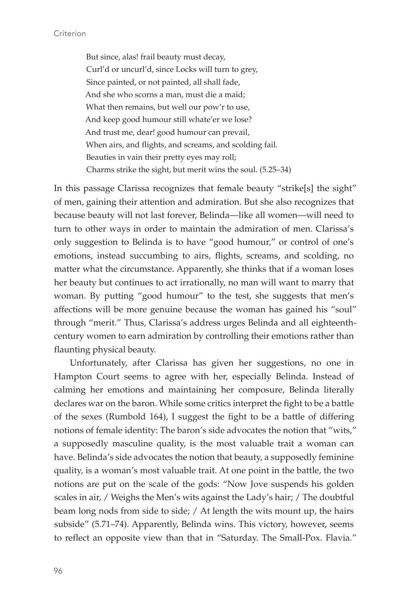But since, alas! frail beauty must decay, Curl'd or uncurl'd, since Locks will turn to grey, Since painted, or not painted, all shall fade, And she who scorns a man, must die a maid; What then remains, but well our pow'r to use, And keep good humour still whate'er we lose? And trust me, dear! good humour can prevail, When airs, and flights, and screams, and scolding fail. Beauties in vain their pretty eyes may roll; Charms strike the sight, but merit wins the soul. (5.25–34)

In this passage Clarissa recognizes that female beauty "strike[s] the sight" of men, gaining their attention and admiration. But she also recognizes that because beauty will not last forever, Belinda—like all women—will need to turn to other ways in order to maintain the admiration of men. Clarissa's only suggestion to Belinda is to have "good humour," or control of one's emotions, instead succumbing to airs, flights, screams, and scolding, no matter what the circumstance. Apparently, she thinks that if a woman loses her beauty but continues to act irrationally, no man will want to marry that woman. By putting "good humour" to the test, she suggests that men's affections will be more genuine because the woman has gained his "soul" through "merit." Thus, Clarissa's address urges Belinda and all eighteenthcentury women to earn admiration by controlling their emotions rather than flaunting physical beauty.

Unfortunately, after Clarissa has given her suggestions, no one in Hampton Court seems to agree with her, especially Belinda. Instead of calming her emotions and maintaining her composure, Belinda literally declares war on the baron. While some critics interpret the fight to be a battle of the sexes (Rumbold 164), I suggest the fight to be a battle of differing notions of female identity: The baron's side advocates the notion that "wits," a supposedly masculine quality, is the most valuable trait a woman can have. Belinda's side advocates the notion that beauty, a supposedly feminine quality, is a woman's most valuable trait. At one point in the battle, the two notions are put on the scale of the gods: "Now Jove suspends his golden scales in air, / Weighs the Men's wits against the Lady's hair; / The doubtful beam long nods from side to side; / At length the wits mount up, the hairs subside" (5.71–74). Apparently, Belinda wins. This victory, however, seems to reflect an opposite view than that in "Saturday. The Small-Pox. Flavia."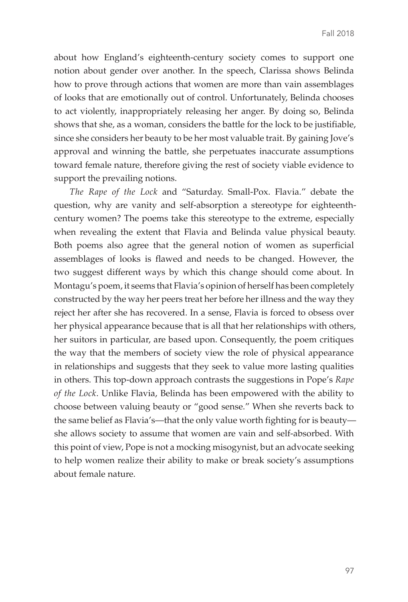about how England's eighteenth-century society comes to support one notion about gender over another. In the speech, Clarissa shows Belinda how to prove through actions that women are more than vain assemblages of looks that are emotionally out of control. Unfortunately, Belinda chooses to act violently, inappropriately releasing her anger. By doing so, Belinda shows that she, as a woman, considers the battle for the lock to be justifiable, since she considers her beauty to be her most valuable trait. By gaining Jove's approval and winning the battle, she perpetuates inaccurate assumptions toward female nature, therefore giving the rest of society viable evidence to support the prevailing notions.

*The Rape of the Lock* and "Saturday. Small-Pox. Flavia." debate the question, why are vanity and self-absorption a stereotype for eighteenthcentury women? The poems take this stereotype to the extreme, especially when revealing the extent that Flavia and Belinda value physical beauty. Both poems also agree that the general notion of women as superficial assemblages of looks is flawed and needs to be changed. However, the two suggest different ways by which this change should come about. In Montagu's poem, it seems that Flavia's opinion of herself has been completely constructed by the way her peers treat her before her illness and the way they reject her after she has recovered. In a sense, Flavia is forced to obsess over her physical appearance because that is all that her relationships with others, her suitors in particular, are based upon. Consequently, the poem critiques the way that the members of society view the role of physical appearance in relationships and suggests that they seek to value more lasting qualities in others. This top-down approach contrasts the suggestions in Pope's *Rape of the Lock*. Unlike Flavia, Belinda has been empowered with the ability to choose between valuing beauty or "good sense." When she reverts back to the same belief as Flavia's—that the only value worth fighting for is beauty she allows society to assume that women are vain and self-absorbed. With this point of view, Pope is not a mocking misogynist, but an advocate seeking to help women realize their ability to make or break society's assumptions about female nature.